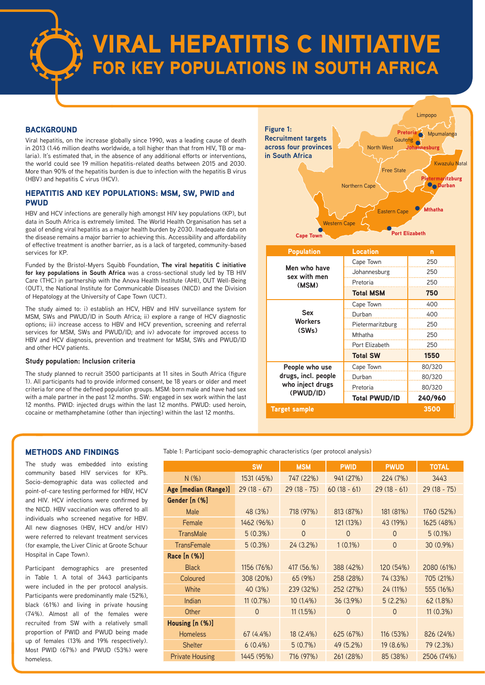

# VIRAL HEPATITIS C INITIATIVE FOR KEY POPULATIONS IN SOUTH AFRICA

#### **BACKGROUND**

Viral hepatitis, on the increase globally since 1990, was a leading cause of death in 2013 (1.46 million deaths worldwide, a toll higher than that from HIV, TB or malaria). It's estimated that, in the absence of any additional efforts or interventions, the world could see 19 million hepatitis-related deaths between 2015 and 2030. More than 90% of the hepatitis burden is due to infection with the hepatitis B virus (HBV) and hepatitis C virus (HCV).

#### HEPATITIS AND KEY POPULATIONS: MSM, SW, PWID and PWUD

HBV and HCV infections are generally high amongst HIV key populations (KP), but data in South Africa is extremely limited. The World Health Organisation has set a goal of ending viral hepatitis as a major health burden by 2030. Inadequate data on the disease remains a major barrier to achieving this. Accessibility and affordability of effective treatment is another barrier, as is a lack of targeted, community-based services for KP.

Funded by the Bristol-Myers Squibb Foundation, **The viral hepatitis C initiative for key populations in South Africa** was a cross-sectional study led by TB HIV Care (THC) in partnership with the Anova Health Institute (AHI), OUT Well-Being (OUT), the National Institute for Communicable Diseases (NICD) and the Division of Hepatology at the University of Cape Town (UCT).

The study aimed to: i) establish an HCV, HBV and HIV surveillance system for MSM, SWs and PWUD/ID in South Africa; ii) explore a range of HCV diagnostic options; iii) increase access to HBV and HCV prevention, screening and referral services for MSM, SWs and PWUD/ID; and iv) advocate for improved access to HBV and HCV diagnosis, prevention and treatment for MSM, SWs and PWUD/ID and other HCV patients.

#### **Study population: Inclusion criteria**

The study planned to recruit 3500 participants at 11 sites in South Africa (figure 1). All participants had to provide informed consent, be 18 years or older and meet criteria for one of the defined population groups. MSM: born male and have had sex with a male partner in the past 12 months. SW: engaged in sex work within the last 12 months. PWID: injected drugs within the last 12 months. PWUD: used heroin, cocaine or methamphetamine (other than injecting) within the last 12 months.



#### METHODS AND FINDINGS

The study was embedded into existing community based HIV services for KPs. Socio-demographic data was collected and point-of-care testing performed for HBV, HCV and HIV. HCV infections were confirmed by the NICD. HBV vaccination was offered to all individuals who screened negative for HBV. All new diagnoses (HBV, HCV and/or HIV) were referred to relevant treatment services (for example, the Liver Clinic at Groote Schuur Hospital in Cape Town).

Participant demographics are presented in Table 1. A total of 3443 participants were included in the per protocol analysis. Participants were predominantly male (52%), black (61%) and living in private housing (74%). Almost all of the females were recruited from SW with a relatively small proportion of PWID and PWUD being made up of females (13% and 19% respectively). Most PWID (67%) and PWUD (53%) were homeless.

Table 1: Participant socio-demographic characteristics (per protocol analysis)

|                        | <b>SW</b>     | <b>MSM</b>     | <b>PWID</b>    | <b>PWUD</b>   | <b>TOTAL</b>  |
|------------------------|---------------|----------------|----------------|---------------|---------------|
| N(% )                  | 1531 (45%)    | 747 (22%)      | 941 (27%)      | 224 (7%)      | 3443          |
| Age [median (Range)]   | $29(18 - 67)$ | $29(18 - 75)$  | $60(18 - 61)$  | $29(18 - 61)$ | $29(18 - 75)$ |
| Gender In (%]          |               |                |                |               |               |
| Male                   | 48 (3%)       | 718 (97%)      | 813 (87%)      | 181 (81%)     | 1760 (52%)    |
| Female                 | 1462 (96%)    | $\Omega$       | 121 (13%)      | 43 (19%)      | 1625 (48%)    |
| <b>TransMale</b>       | $5(0.3\%)$    | $\overline{0}$ | $\overline{0}$ | $\Omega$      | $5(0.1\%)$    |
| <b>TransFemale</b>     | $5(0.3\%)$    | $24(3.2\%)$    | $1(0.1\%)$     | $\Omega$      | 30 (0.9%)     |
| Race $[n (%)]$         |               |                |                |               |               |
| <b>Black</b>           | 1156 (76%)    | 417 (56.%)     | 388 (42%)      | 120 (54%)     | 2080 (61%)    |
| Coloured               | 308 (20%)     | 65(9%)         | 258 (28%)      | 74 (33%)      | 705 (21%)     |
| White                  | 40 (3%)       | 239 (32%)      | 252 (27%)      | 24 (11%)      | 555 (16%)     |
| Indian                 | $11(0.7\%)$   | $10(1.4\%)$    | $36(3.9\%)$    | $5(2.2\%)$    | 62(1.8%)      |
| Other                  | $\Omega$      | 11(1.5%)       | $\Omega$       | $\Omega$      | $11(0.3\%)$   |
| Housing [n (%)]        |               |                |                |               |               |
| <b>Homeless</b>        | $67(4.4\%)$   | $18(2.4\%)$    | 625 (67%)      | 116(53%)      | 826 (24%)     |
| <b>Shelter</b>         | $6(0.4\%)$    | $5(0.7\%)$     | 49 (5.2%)      | $19(8.6\%)$   | 79 (2.3%)     |
| <b>Private Housing</b> | 1445 (95%)    | 716 (97%)      | 261 (28%)      | 85 (38%)      | 2506 (74%)    |